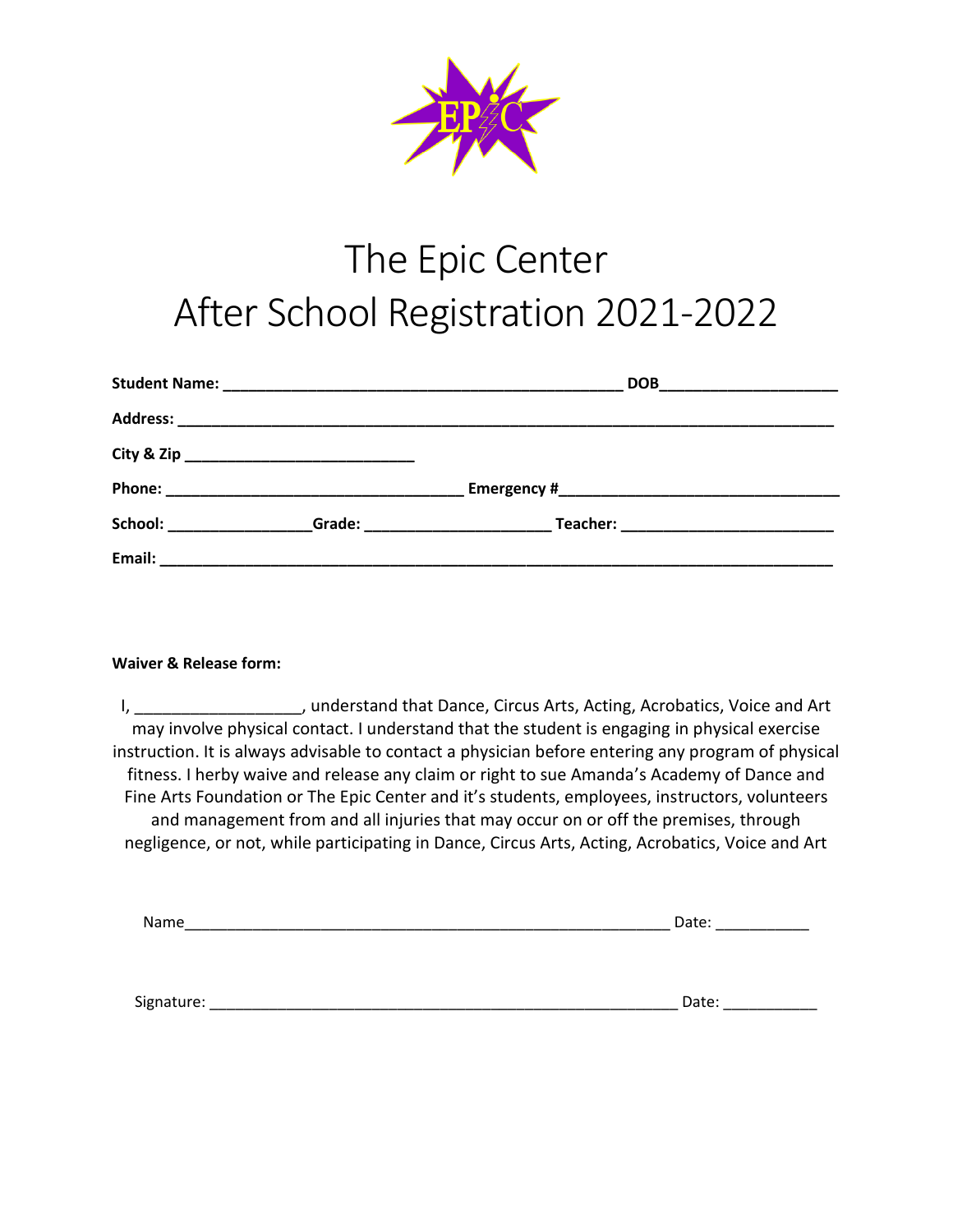

# The Epic Center After School Registration 2021-2022

| School: <b>Example 2018</b> | Grade: _________________________ |
|-----------------------------|----------------------------------|
|                             |                                  |

### **Waiver & Release form:**

I, \_\_\_\_\_\_\_\_\_\_\_\_\_\_\_\_\_\_\_\_, understand that Dance, Circus Arts, Acting, Acrobatics, Voice and Art may involve physical contact. I understand that the student is engaging in physical exercise instruction. It is always advisable to contact a physician before entering any program of physical fitness. I herby waive and release any claim or right to sue Amanda's Academy of Dance and Fine Arts Foundation or The Epic Center and it's students, employees, instructors, volunteers and management from and all injuries that may occur on or off the premises, through negligence, or not, while participating in Dance, Circus Arts, Acting, Acrobatics, Voice and Art

| Signature:<br>Date: |  |
|---------------------|--|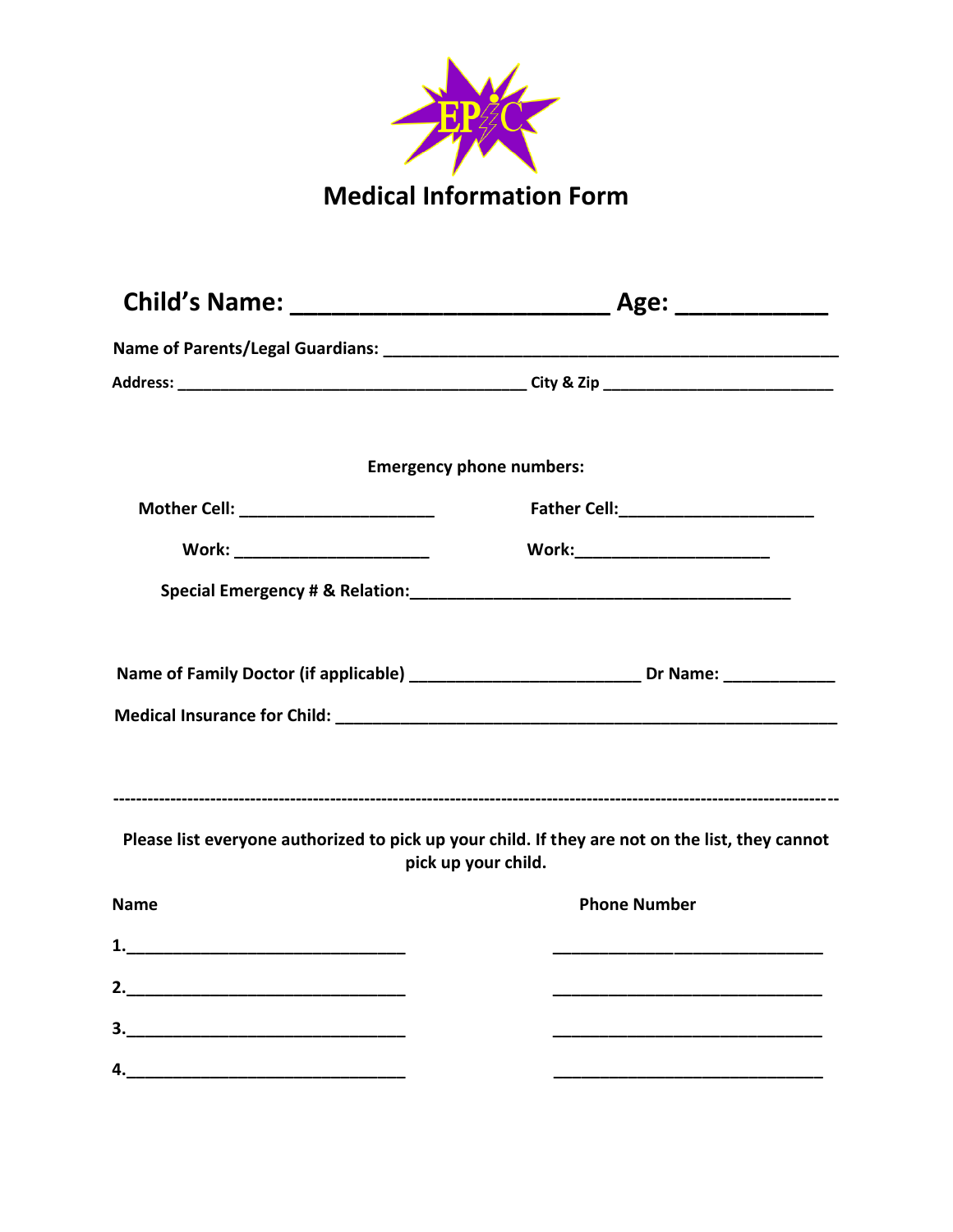

|                                                                                | <b>Emergency phone numbers:</b>                                                                                        |
|--------------------------------------------------------------------------------|------------------------------------------------------------------------------------------------------------------------|
| Father Cell: ________________________<br>Mother Cell: ________________________ |                                                                                                                        |
| Work: ________________________                                                 | Work:_________________________                                                                                         |
|                                                                                |                                                                                                                        |
|                                                                                |                                                                                                                        |
|                                                                                | Name of Family Doctor (if applicable) _________________________________Dr Name: ___________________                    |
|                                                                                |                                                                                                                        |
|                                                                                |                                                                                                                        |
|                                                                                |                                                                                                                        |
|                                                                                | Please list everyone authorized to pick up your child. If they are not on the list, they cannot<br>pick up your child. |
| <b>Name</b>                                                                    | <b>Phone Number</b>                                                                                                    |
|                                                                                |                                                                                                                        |
|                                                                                |                                                                                                                        |
|                                                                                |                                                                                                                        |
| 4.                                                                             |                                                                                                                        |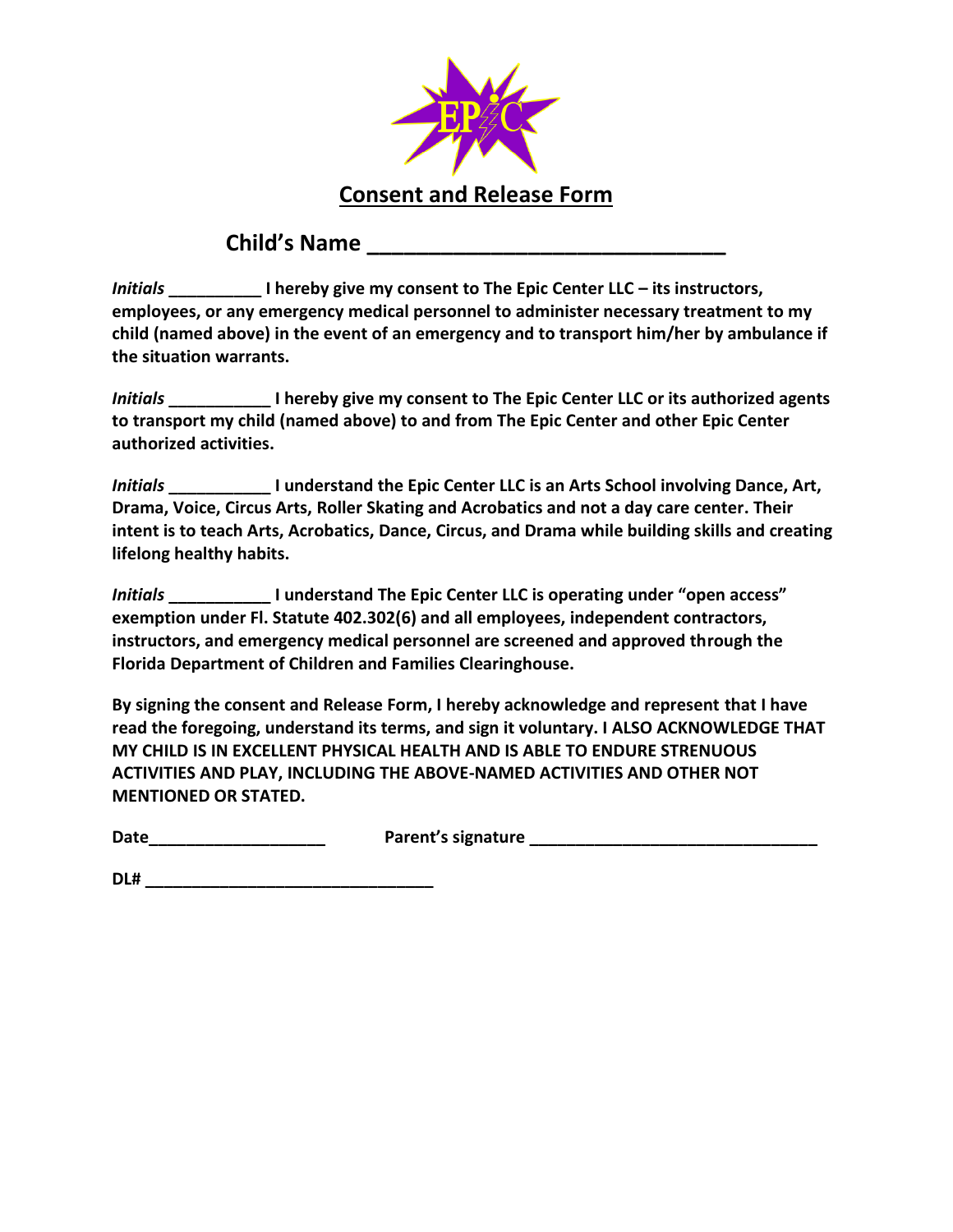

# **Child's Name \_\_\_\_\_\_\_\_\_\_\_\_\_\_\_\_\_\_\_\_\_\_\_\_\_\_\_\_\_**

*Initials* **\_\_\_\_\_\_\_\_\_\_ I hereby give my consent to The Epic Center LLC – its instructors, employees, or any emergency medical personnel to administer necessary treatment to my child (named above) in the event of an emergency and to transport him/her by ambulance if the situation warrants.** 

*Initials* **\_\_\_\_\_\_\_\_\_\_\_ I hereby give my consent to The Epic Center LLC or its authorized agents to transport my child (named above) to and from The Epic Center and other Epic Center authorized activities.** 

*Initials* **\_\_\_\_\_\_\_\_\_\_\_ I understand the Epic Center LLC is an Arts School involving Dance, Art, Drama, Voice, Circus Arts, Roller Skating and Acrobatics and not a day care center. Their intent is to teach Arts, Acrobatics, Dance, Circus, and Drama while building skills and creating lifelong healthy habits.**

*Initials* **\_\_\_\_\_\_\_\_\_\_\_ I understand The Epic Center LLC is operating under "open access" exemption under Fl. Statute 402.302(6) and all employees, independent contractors, instructors, and emergency medical personnel are screened and approved through the Florida Department of Children and Families Clearinghouse.**

**By signing the consent and Release Form, I hereby acknowledge and represent that I have read the foregoing, understand its terms, and sign it voluntary. I ALSO ACKNOWLEDGE THAT MY CHILD IS IN EXCELLENT PHYSICAL HEALTH AND IS ABLE TO ENDURE STRENUOUS ACTIVITIES AND PLAY, INCLUDING THE ABOVE-NAMED ACTIVITIES AND OTHER NOT MENTIONED OR STATED.** 

**Date\_\_\_\_\_\_\_\_\_\_\_\_\_\_\_\_\_\_\_ Parent's signature \_\_\_\_\_\_\_\_\_\_\_\_\_\_\_\_\_\_\_\_\_\_\_\_\_\_\_\_\_\_\_**

**DL# \_\_\_\_\_\_\_\_\_\_\_\_\_\_\_\_\_\_\_\_\_\_\_\_\_\_\_\_\_\_\_**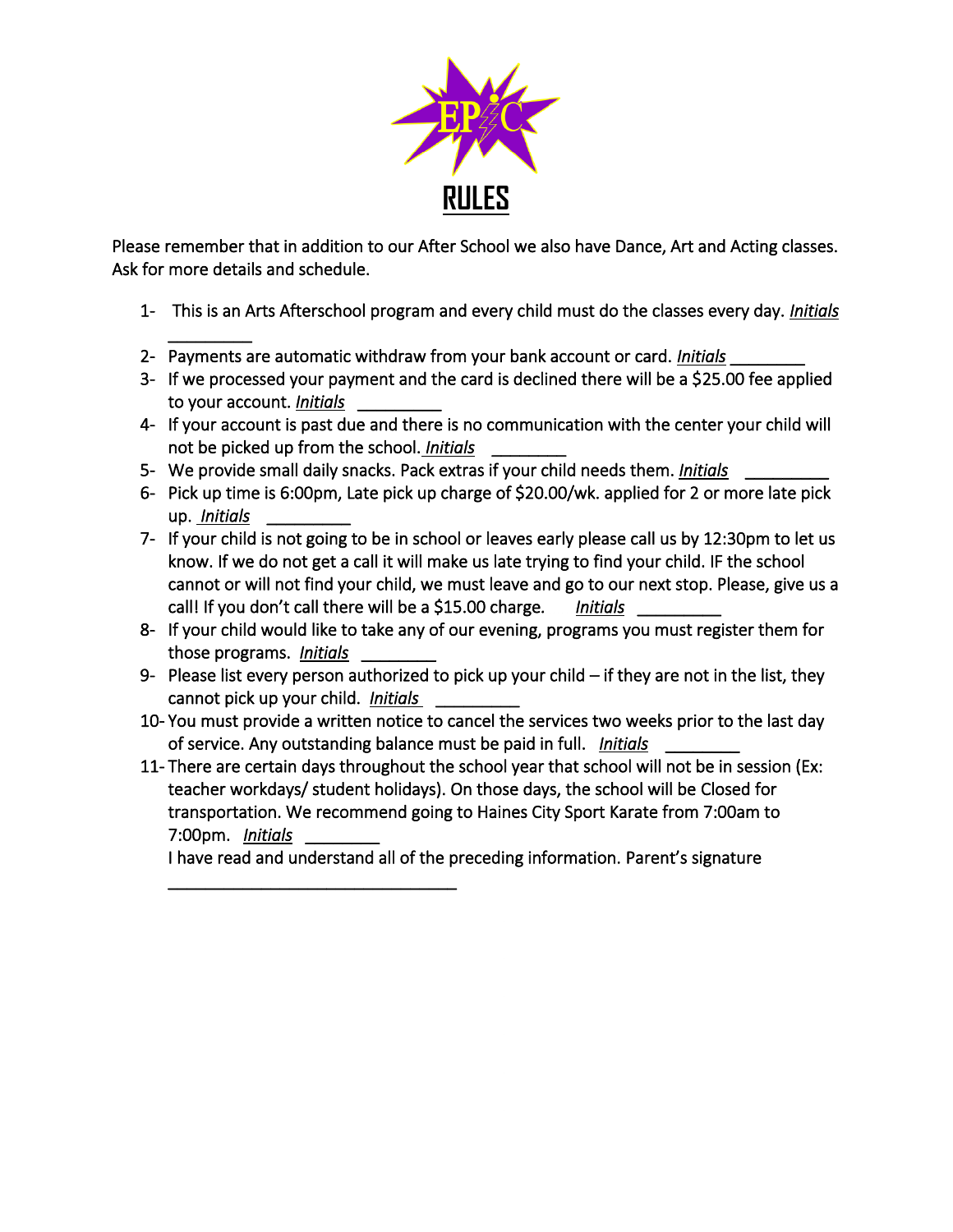

Please remember that in addition to our After School we also have Dance, Art and Acting classes. Ask for more details and schedule.

- 1- This is an Arts Afterschool program and every child must do the classes every day. *Initials*
- \_\_\_\_\_\_\_\_\_ 2- Payments are automatic withdraw from your bank account or card. *Initials* \_\_\_\_\_\_\_\_
- 3- If we processed your payment and the card is declined there will be a \$25.00 fee applied to your account. *Initials* \_\_\_\_\_\_\_\_\_
- 4- If your account is past due and there is no communication with the center your child will not be picked up from the school. *Initials* \_\_\_\_\_\_\_\_
- 5- We provide small daily snacks. Pack extras if your child needs them. *Initials* \_\_\_\_\_\_\_\_\_
- 6- Pick up time is 6:00pm, Late pick up charge of \$20.00/wk. applied for 2 or more late pick up. *Initials* \_\_\_\_\_\_\_\_\_
- 7- If your child is not going to be in school or leaves early please call us by 12:30pm to let us know. If we do not get a call it will make us late trying to find your child. IF the school cannot or will not find your child, we must leave and go to our next stop. Please, give us a call! If you don't call there will be a \$15.00 charge*. Initials* \_\_\_\_\_\_\_\_\_
- 8- If your child would like to take any of our evening, programs you must register them for those programs. *Initials* \_\_\_\_\_\_\_\_
- 9- Please list every person authorized to pick up your child if they are not in the list, they cannot pick up your child. *Initials* \_\_\_\_\_\_\_\_\_
- 10- You must provide a written notice to cancel the services two weeks prior to the last day of service. Any outstanding balance must be paid in full. *Initials* \_\_\_\_\_\_\_\_
- 11- There are certain days throughout the school year that school will not be in session (Ex: teacher workdays/ student holidays). On those days, the school will be Closed for transportation. We recommend going to Haines City Sport Karate from 7:00am to 7:00pm. *Initials* \_\_\_\_\_\_\_\_

I have read and understand all of the preceding information. Parent's signature

\_\_\_\_\_\_\_\_\_\_\_\_\_\_\_\_\_\_\_\_\_\_\_\_\_\_\_\_\_\_\_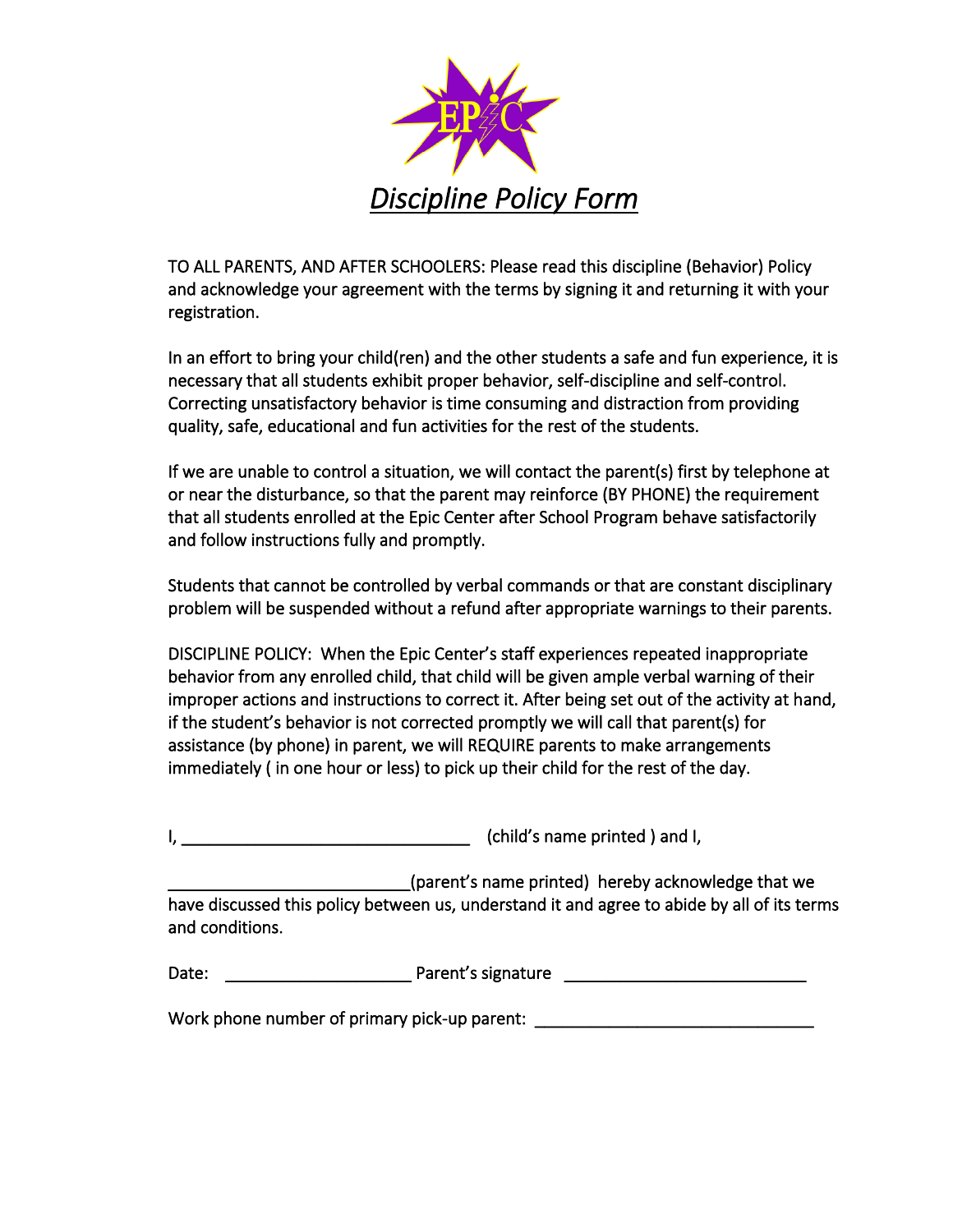

TO ALL PARENTS, AND AFTER SCHOOLERS: Please read this discipline (Behavior) Policy and acknowledge your agreement with the terms by signing it and returning it with your registration.

In an effort to bring your child(ren) and the other students a safe and fun experience, it is necessary that all students exhibit proper behavior, self-discipline and self-control. Correcting unsatisfactory behavior is time consuming and distraction from providing quality, safe, educational and fun activities for the rest of the students.

If we are unable to control a situation, we will contact the parent(s) first by telephone at or near the disturbance, so that the parent may reinforce (BY PHONE) the requirement that all students enrolled at the Epic Center after School Program behave satisfactorily and follow instructions fully and promptly.

Students that cannot be controlled by verbal commands or that are constant disciplinary problem will be suspended without a refund after appropriate warnings to their parents.

DISCIPLINE POLICY: When the Epic Center's staff experiences repeated inappropriate behavior from any enrolled child, that child will be given ample verbal warning of their improper actions and instructions to correct it. After being set out of the activity at hand, if the student's behavior is not corrected promptly we will call that parent(s) for assistance (by phone) in parent, we will REQUIRE parents to make arrangements immediately ( in one hour or less) to pick up their child for the rest of the day.

I, \_\_\_\_\_\_\_\_\_\_\_\_\_\_\_\_\_\_\_\_\_\_\_\_\_\_\_\_\_\_\_ (child's name printed ) and I,

\_\_\_\_\_\_\_\_\_\_\_\_\_\_\_\_\_\_\_\_\_\_\_\_\_\_(parent's name printed) hereby acknowledge that we have discussed this policy between us, understand it and agree to abide by all of its terms and conditions.

| Date:<br>Parent's signature |  |
|-----------------------------|--|
|-----------------------------|--|

Work phone number of primary pick-up parent: \_\_\_\_\_\_\_\_\_\_\_\_\_\_\_\_\_\_\_\_\_\_\_\_\_\_\_\_\_\_\_\_\_\_\_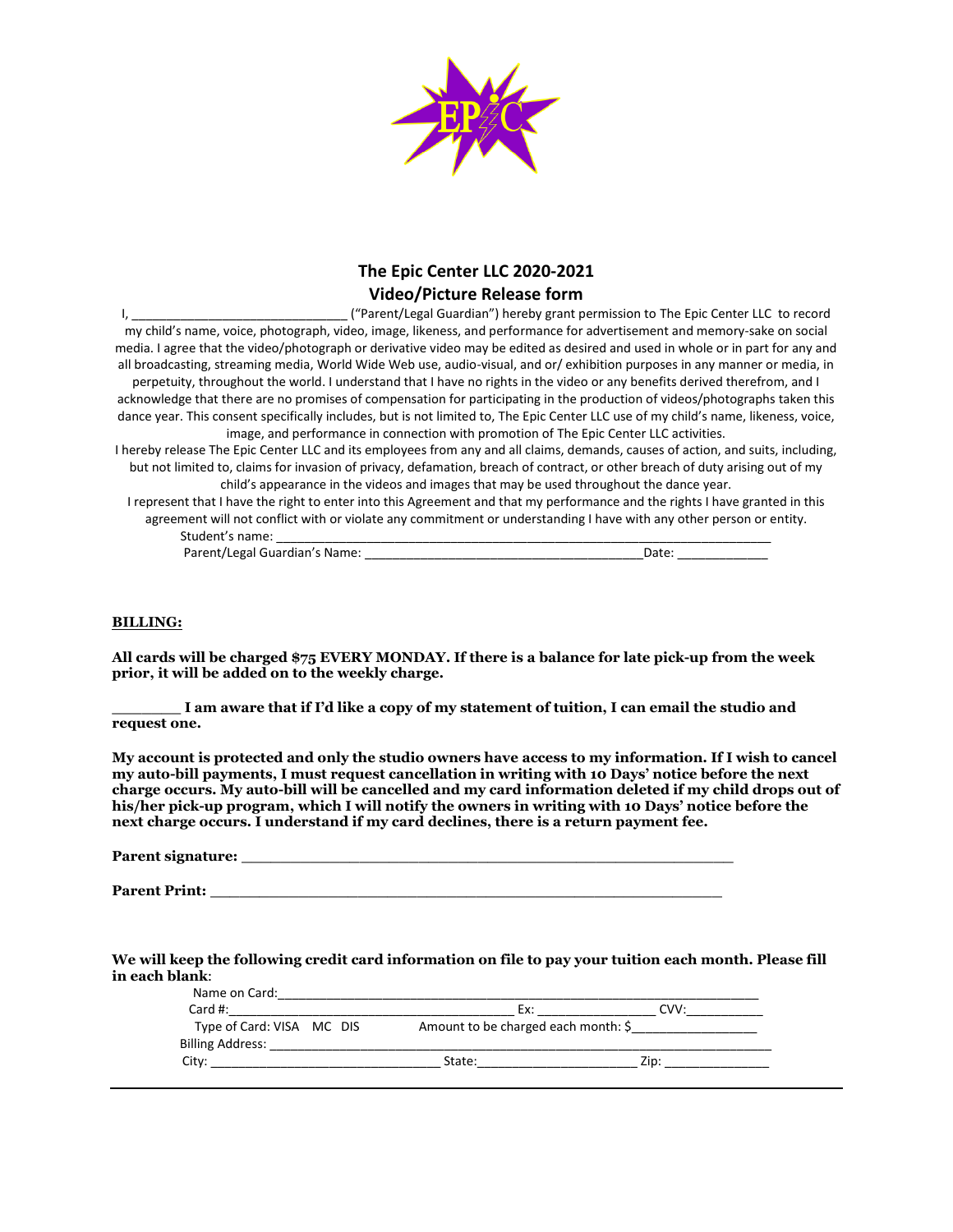

## **The Epic Center LLC 2020-2021 Video/Picture Release form**

I, **Example 20 and The Company** ("Parent/Legal Guardian") hereby grant permission to The Epic Center LLC to record my child's name, voice, photograph, video, image, likeness, and performance for advertisement and memory-sake on social media. I agree that the video/photograph or derivative video may be edited as desired and used in whole or in part for any and all broadcasting, streaming media, World Wide Web use, audio-visual, and or/ exhibition purposes in any manner or media, in perpetuity, throughout the world. I understand that I have no rights in the video or any benefits derived therefrom, and I acknowledge that there are no promises of compensation for participating in the production of videos/photographs taken this dance year. This consent specifically includes, but is not limited to, The Epic Center LLC use of my child's name, likeness, voice, image, and performance in connection with promotion of The Epic Center LLC activities. I hereby release The Epic Center LLC and its employees from any and all claims, demands, causes of action, and suits, including, but not limited to, claims for invasion of privacy, defamation, breach of contract, or other breach of duty arising out of my child's appearance in the videos and images that may be used throughout the dance year.

I represent that I have the right to enter into this Agreement and that my performance and the rights I have granted in this agreement will not conflict with or violate any commitment or understanding I have with any other person or entity. Student's name:

Parent/Legal Guardian's Name: \_\_\_\_\_\_\_\_\_\_\_\_\_\_\_\_\_\_\_\_\_\_\_\_\_\_\_\_\_\_\_\_\_\_\_\_\_\_\_\_Date: \_\_\_\_\_\_\_\_\_\_\_\_\_

#### **BILLING:**

**All cards will be charged \$75 EVERY MONDAY. If there is a balance for late pick-up from the week prior, it will be added on to the weekly charge.** 

**\_\_\_\_\_\_\_ I am aware that if I'd like a copy of my statement of tuition, I can email the studio and request one.** 

**My account is protected and only the studio owners have access to my information. If I wish to cancel my auto-bill payments, I must request cancellation in writing with 10 Days' notice before the next charge occurs. My auto-bill will be cancelled and my card information deleted if my child drops out of his/her pick-up program, which I will notify the owners in writing with 10 Days' notice before the next charge occurs. I understand if my card declines, there is a return payment fee.** 

| Parent signature: |  |
|-------------------|--|
|                   |  |

**Parent Print: \_\_\_\_\_\_\_\_\_\_\_\_\_\_\_\_\_\_\_\_\_\_\_\_\_\_\_\_\_\_\_\_\_\_\_\_\_\_\_\_\_\_\_\_\_\_\_\_\_\_\_\_**

**We will keep the following credit card information on file to pay your tuition each month. Please fill in each blank**:

| Name on Card:<br>Card #:                             | Ex:                                 |  |
|------------------------------------------------------|-------------------------------------|--|
| Type of Card: VISA MC DIS<br><b>Billing Address:</b> | Amount to be charged each month: \$ |  |
|                                                      | State:                              |  |